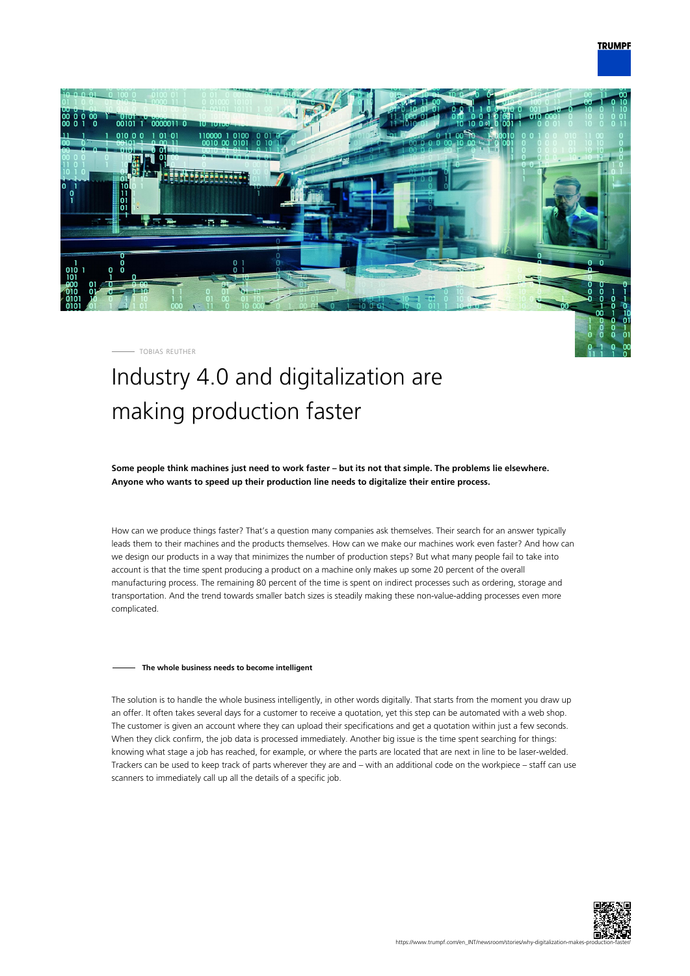## **TRUMPF**



TOBIAS REUTHER

# Industry 4.0 and digitalization are making production faster

**Some people think machines just need to work faster – but its not that simple. The problems lie elsewhere. Anyone who wants to speed up their production line needs to digitalize their entire process.**

How can we produce things faster? That's a question many companies ask themselves. Their search for an answer typically leads them to their machines and the products themselves. How can we make our machines work even faster? And how can we design our products in a way that minimizes the number of production steps? But what many people fail to take into account is that the time spent producing a product on a machine only makes up some 20 percent of the overall manufacturing process. The remaining 80 percent of the time is spent on indirect processes such as ordering, storage and transportation. And the trend towards smaller batch sizes is steadily making these non-value-adding processes even more complicated.

#### **The whole business needs to become intelligent**

The solution is to handle the whole business intelligently, in other words digitally. That starts from the moment you draw up an offer. It often takes several days for a customer to receive a quotation, yet this step can be automated with a web shop. The customer is given an account where they can upload their specifications and get a quotation within just a few seconds. When they click confirm, the job data is processed immediately. Another big issue is the time spent searching for things: knowing what stage a job has reached, for example, or where the parts are located that are next in line to be laser-welded. Trackers can be used to keep track of parts wherever they are and – with an additional code on the workpiece – staff can use scanners to immediately call up all the details of a specific job.